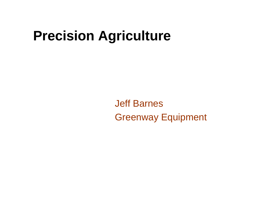# **Precision Agriculture**

Jeff Barnes Greenway Equipment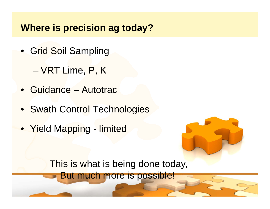## **Where is precision ag today?**

- Grid Soil Sampling
	- VRT Lime, P, K
- Guidance – Autotrac
- Swath Control Technologies
- Yield Mapping limited



This is what is being done today,

But much more is possible!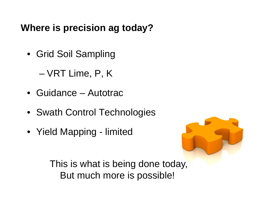# **Where is precision ag today?**

- Grid Soil Sampling
	- VRT Lime, P, K
- Guidance– Autotrac
- Swath Control Technolo gies
- Yield Mapping limited



This is what is being done today, But much more is possible!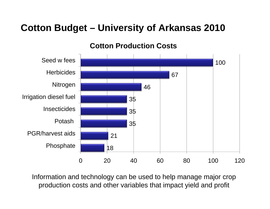# **Cotton Budget – University of Arkansas 2010**

#### **Cotton Production Costs**



Information and technology can be used to help manage major crop production costs and other variables that impact yield and profit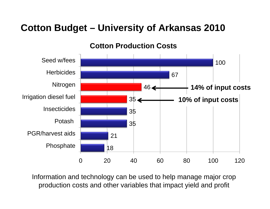# **Cotton Budget – University of Arkansas 2010**

#### **Cotton Production Costs**



Information and technology can be used to help manage major crop production costs and other variables that impact yield and profit